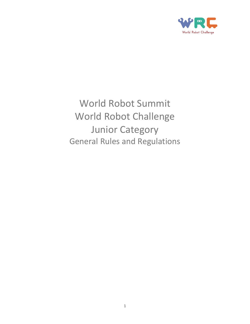

World Robot Summit World Robot Challenge Junior Category General Rules and Regulations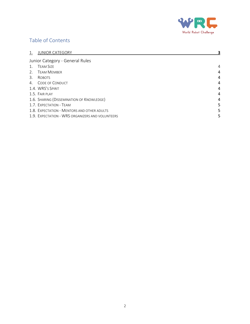

## Table of Contents

|                       | <b>JUNIOR CATEGORY</b>                           |                |
|-----------------------|--------------------------------------------------|----------------|
|                       | Junior Category - General Rules                  |                |
| $\mathbf{1}_{\cdot}$  | <b>TEAM SIZE</b>                                 | $\overline{4}$ |
| 2.                    | <b>TEAM MEMBER</b>                               | 4              |
| $\mathcal{B}_{\cdot}$ | <b>ROBOTS</b>                                    | 4              |
| $4_{\cdot}$           | <b>CODE OF CONDUCT</b>                           | 4              |
|                       | 1.4. WRS's SPIRIT                                | 4              |
|                       | 1.5. FAIR PLAY                                   | 4              |
|                       | 1.6. SHARING (DISSEMINATION OF KNOWLEDGE)        | 4              |
|                       | 1.7. EXPECTATION - TEAM                          | 5              |
|                       | 1.8. EXPECTATION - MENTORS AND OTHER ADULTS      | 5              |
|                       | 1.9. EXPECTATION - WRS ORGANIZERS AND VOLUNTEERS | 5              |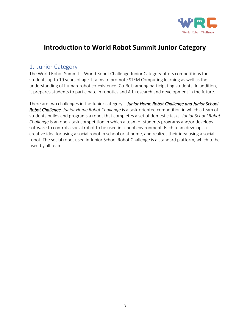

# **Introduction to World Robot Summit Junior Category**

## <span id="page-2-0"></span>1. Junior Category

The World Robot Summit – World Robot Challenge Junior Category offers competitions for students up to 19 years of age. It aims to promote STEM Computing learning as well as the understanding of human-robot co-existence (Co-Bot) among participating students. In addition, it prepares students to participate in robotics and A.I. research and development in the future.

There are two challenges in the Junior category – *Junior Home Robot Challenge and Junior School Robot Challenge*. *Junior Home Robot Challenge* is a task-oriented competition in which a team of students builds and programs a robot that completes a set of domestic tasks. *Junior School Robot Challenge* is an open-task competition in which a team of students programs and/or develops software to control a social robot to be used in school environment. Each team develops a creative idea for using a social robot in school or at home, and realizes their idea using a social robot. The social robot used in Junior School Robot Challenge is a standard platform, which to be used by all teams.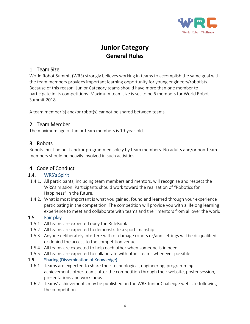

# **Junior Category General Rules**

## <span id="page-3-0"></span>1. Team Size

World Robot Summit (WRS) strongly believes working in teams to accomplish the same goal with the team members provides important learning opportunity for young engineers/robotists. Because of this reason, Junior Category teams should have more than one member to participate in its competitions. Maximum team size is set to be 6 members for World Robot Summit 2018.

A team member(s) and/or robot(s) cannot be shared between teams.

## <span id="page-3-1"></span>2. Team Member

The maximum age of Junior team members is 19-year-old.

## <span id="page-3-2"></span>3. Robots

Robots must be built and/or programmed solely by team members. No adults and/or non-team members should be heavily involved in such activities.

## <span id="page-3-3"></span>4. Code of Conduct

### <span id="page-3-4"></span>1.4. WRS's Spirit

- 1.4.1. All participants, including team members and mentors, will recognize and respect the WRS's mission. Participants should work toward the realization of "Robotics for Happiness" in the future.
- 1.4.2. What is most important is what you gained, found and learned through your experience participating in the competition. The competition will provide you with a lifelong learning experience to meet and collaborate with teams and their mentors from all over the world.

### 1.5. Fair play

- <span id="page-3-5"></span>1.5.1. All teams are expected obey the RuleBook.
- 1.5.2. All teams are expected to demonstrate a sportsmanship.
- 1.5.3. Anyone deliberately interfere with or damage robots or/and settings will be disqualified or denied the access to the competition venue.
- 1.5.4. All teams are expected to help each other when someone is in need.
- 1.5.5. All teams are expected to collaborate with other teams whenever possible.

### <span id="page-3-6"></span>1.6. Sharing (Dissemination of Knowledge)

- 1.6.1. Teams are expected to share their technological, engineering, programming achievements other teams after the competition through their website, poster session, presentations and workshops.
- 1.6.2. Teams' achievements may be published on the WRS Junior Challenge web site following the competition.